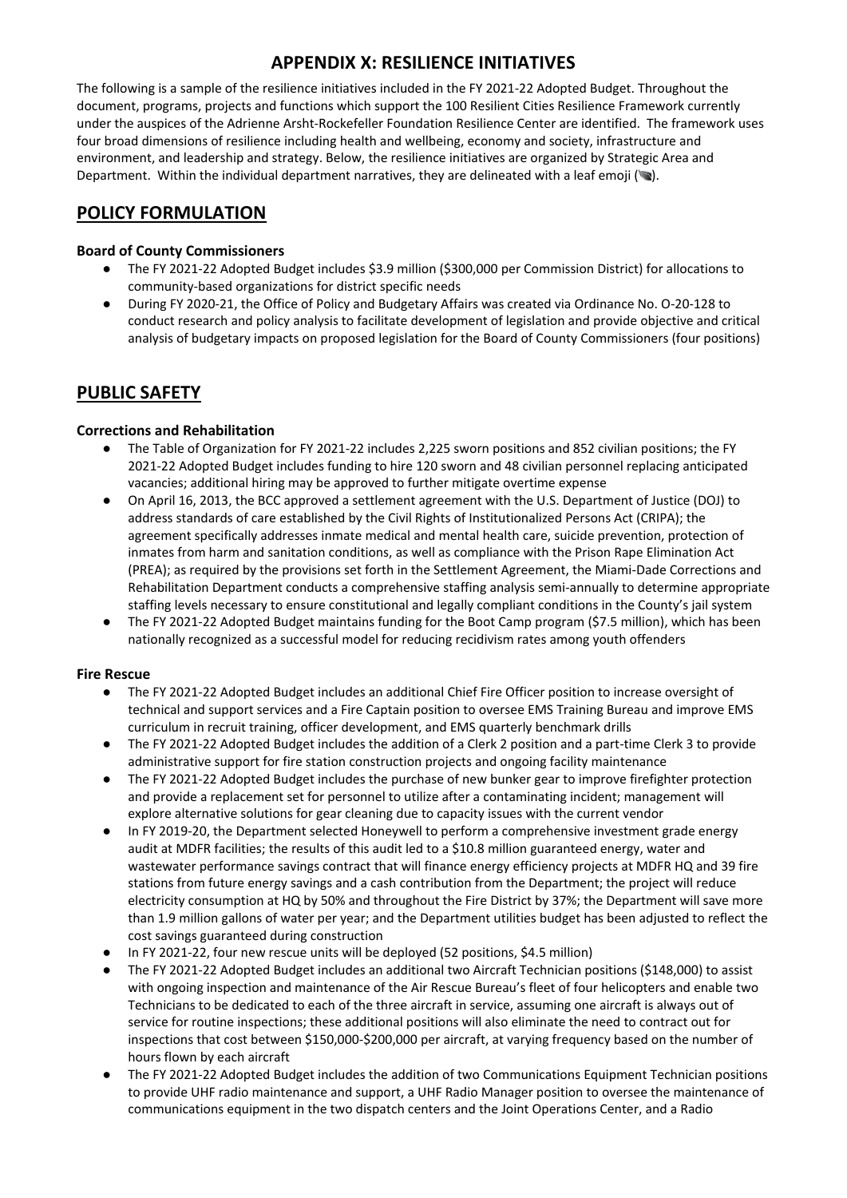The following is a sample of the resilience initiatives included in the FY 2021-22 Adopted Budget. Throughout the document, programs, projects and functions which support the 100 Resilient Cities Resilience Framework currently under the auspices of the Adrienne Arsht-Rockefeller Foundation Resilience Center are identified. The framework uses four broad dimensions of resilience including health and wellbeing, economy and society, infrastructure and environment, and leadership and strategy. Below, the resilience initiatives are organized by Strategic Area and Department. Within the individual department narratives, they are delineated with a leaf emoji  $(\bullet)$ .

## **POLICY FORMULATION**

#### **Board of County Commissioners**

- The FY 2021-22 Adopted Budget includes \$3.9 million (\$300,000 per Commission District) for allocations to community-based organizations for district specific needs
- During FY 2020-21, the Office of Policy and Budgetary Affairs was created via Ordinance No. O-20-128 to conduct research and policy analysis to facilitate development of legislation and provide objective and critical analysis of budgetary impacts on proposed legislation for the Board of County Commissioners (four positions)

## **PUBLIC SAFETY**

### **Corrections and Rehabilitation**

- The Table of Organization for FY 2021-22 includes 2,225 sworn positions and 852 civilian positions; the FY 2021-22 Adopted Budget includes funding to hire 120 sworn and 48 civilian personnel replacing anticipated vacancies; additional hiring may be approved to further mitigate overtime expense
- On April 16, 2013, the BCC approved a settlement agreement with the U.S. Department of Justice (DOJ) to address standards of care established by the Civil Rights of Institutionalized Persons Act (CRIPA); the agreement specifically addresses inmate medical and mental health care, suicide prevention, protection of inmates from harm and sanitation conditions, as well as compliance with the Prison Rape Elimination Act (PREA); as required by the provisions set forth in the Settlement Agreement, the Miami-Dade Corrections and Rehabilitation Department conducts a comprehensive staffing analysis semi-annually to determine appropriate staffing levels necessary to ensure constitutional and legally compliant conditions in the County's jail system
- The FY 2021-22 Adopted Budget maintains funding for the Boot Camp program (\$7.5 million), which has been nationally recognized as a successful model for reducing recidivism rates among youth offenders

#### **Fire Rescue**

- The FY 2021-22 Adopted Budget includes an additional Chief Fire Officer position to increase oversight of technical and support services and a Fire Captain position to oversee EMS Training Bureau and improve EMS curriculum in recruit training, officer development, and EMS quarterly benchmark drills
- The FY 2021-22 Adopted Budget includes the addition of a Clerk 2 position and a part-time Clerk 3 to provide administrative support for fire station construction projects and ongoing facility maintenance
- The FY 2021-22 Adopted Budget includes the purchase of new bunker gear to improve firefighter protection and provide a replacement set for personnel to utilize after a contaminating incident; management will explore alternative solutions for gear cleaning due to capacity issues with the current vendor
- In FY 2019-20, the Department selected Honeywell to perform a comprehensive investment grade energy audit at MDFR facilities; the results of this audit led to a \$10.8 million guaranteed energy, water and wastewater performance savings contract that will finance energy efficiency projects at MDFR HQ and 39 fire stations from future energy savings and a cash contribution from the Department; the project will reduce electricity consumption at HQ by 50% and throughout the Fire District by 37%; the Department will save more than 1.9 million gallons of water per year; and the Department utilities budget has been adjusted to reflect the cost savings guaranteed during construction
- In FY 2021-22, four new rescue units will be deployed (52 positions, \$4.5 million)
- The FY 2021-22 Adopted Budget includes an additional two Aircraft Technician positions (\$148,000) to assist with ongoing inspection and maintenance of the Air Rescue Bureau's fleet of four helicopters and enable two Technicians to be dedicated to each of the three aircraft in service, assuming one aircraft is always out of service for routine inspections; these additional positions will also eliminate the need to contract out for inspections that cost between \$150,000-\$200,000 per aircraft, at varying frequency based on the number of hours flown by each aircraft
- The FY 2021-22 Adopted Budget includes the addition of two Communications Equipment Technician positions to provide UHF radio maintenance and support, a UHF Radio Manager position to oversee the maintenance of communications equipment in the two dispatch centers and the Joint Operations Center, and a Radio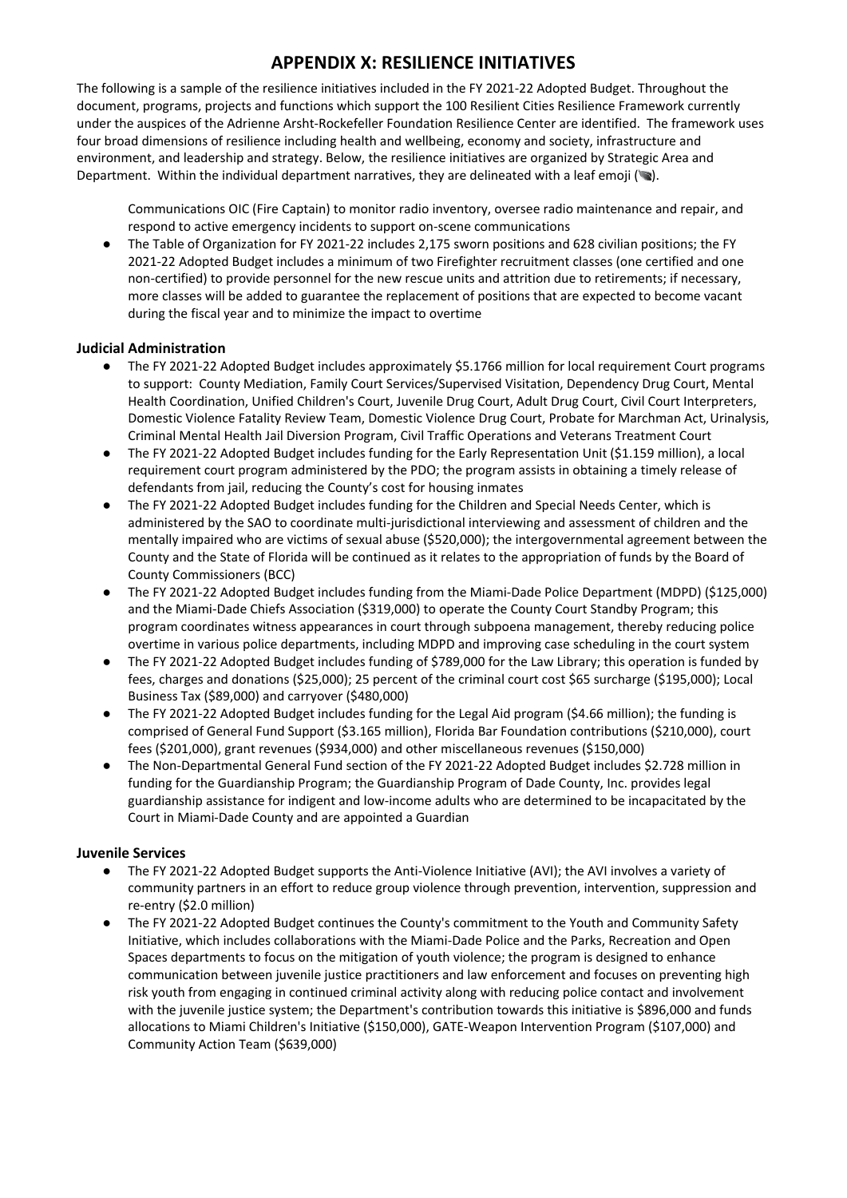The following is a sample of the resilience initiatives included in the FY 2021-22 Adopted Budget. Throughout the document, programs, projects and functions which support the 100 Resilient Cities Resilience Framework currently under the auspices of the Adrienne Arsht-Rockefeller Foundation Resilience Center are identified. The framework uses four broad dimensions of resilience including health and wellbeing, economy and society, infrastructure and environment, and leadership and strategy. Below, the resilience initiatives are organized by Strategic Area and Department. Within the individual department narratives, they are delineated with a leaf emoji ( $\bullet$ ).

Communications OIC (Fire Captain) to monitor radio inventory, oversee radio maintenance and repair, and respond to active emergency incidents to support on-scene communications

The Table of Organization for FY 2021-22 includes 2,175 sworn positions and 628 civilian positions; the FY 2021‐22 Adopted Budget includes a minimum of two Firefighter recruitment classes (one certified and one non‐certified) to provide personnel for the new rescue units and attrition due to retirements; if necessary, more classes will be added to guarantee the replacement of positions that are expected to become vacant during the fiscal year and to minimize the impact to overtime

#### **Judicial Administration**

- The FY 2021-22 Adopted Budget includes approximately \$5.1766 million for local requirement Court programs to support: County Mediation, Family Court Services/Supervised Visitation, Dependency Drug Court, Mental Health Coordination, Unified Children's Court, Juvenile Drug Court, Adult Drug Court, Civil Court Interpreters, Domestic Violence Fatality Review Team, Domestic Violence Drug Court, Probate for Marchman Act, Urinalysis, Criminal Mental Health Jail Diversion Program, Civil Traffic Operations and Veterans Treatment Court
- The FY 2021-22 Adopted Budget includes funding for the Early Representation Unit (\$1.159 million), a local requirement court program administered by the PDO; the program assists in obtaining a timely release of defendants from jail, reducing the County's cost for housing inmates
- The FY 2021-22 Adopted Budget includes funding for the Children and Special Needs Center, which is administered by the SAO to coordinate multi-jurisdictional interviewing and assessment of children and the mentally impaired who are victims of sexual abuse (\$520,000); the intergovernmental agreement between the County and the State of Florida will be continued as it relates to the appropriation of funds by the Board of County Commissioners (BCC)
- The FY 2021-22 Adopted Budget includes funding from the Miami-Dade Police Department (MDPD) (\$125,000) and the Miami-Dade Chiefs Association (\$319,000) to operate the County Court Standby Program; this program coordinates witness appearances in court through subpoena management, thereby reducing police overtime in various police departments, including MDPD and improving case scheduling in the court system
- The FY 2021-22 Adopted Budget includes funding of \$789,000 for the Law Library; this operation is funded by fees, charges and donations (\$25,000); 25 percent of the criminal court cost \$65 surcharge (\$195,000); Local Business Tax (\$89,000) and carryover (\$480,000)
- The FY 2021-22 Adopted Budget includes funding for the Legal Aid program (\$4.66 million); the funding is comprised of General Fund Support (\$3.165 million), Florida Bar Foundation contributions (\$210,000), court fees (\$201,000), grant revenues (\$934,000) and other miscellaneous revenues (\$150,000)
- The Non-Departmental General Fund section of the FY 2021-22 Adopted Budget includes \$2.728 million in funding for the Guardianship Program; the Guardianship Program of Dade County, Inc. provides legal guardianship assistance for indigent and low-income adults who are determined to be incapacitated by the Court in Miami-Dade County and are appointed a Guardian

#### **Juvenile Services**

- The FY 2021-22 Adopted Budget supports the Anti-Violence Initiative (AVI); the AVI involves a variety of community partners in an effort to reduce group violence through prevention, intervention, suppression and re-entry (\$2.0 million)
- The FY 2021-22 Adopted Budget continues the County's commitment to the Youth and Community Safety Initiative, which includes collaborations with the Miami-Dade Police and the Parks, Recreation and Open Spaces departments to focus on the mitigation of youth violence; the program is designed to enhance communication between juvenile justice practitioners and law enforcement and focuses on preventing high risk youth from engaging in continued criminal activity along with reducing police contact and involvement with the juvenile justice system; the Department's contribution towards this initiative is \$896,000 and funds allocations to Miami Children's Initiative (\$150,000), GATE-Weapon Intervention Program (\$107,000) and Community Action Team (\$639,000)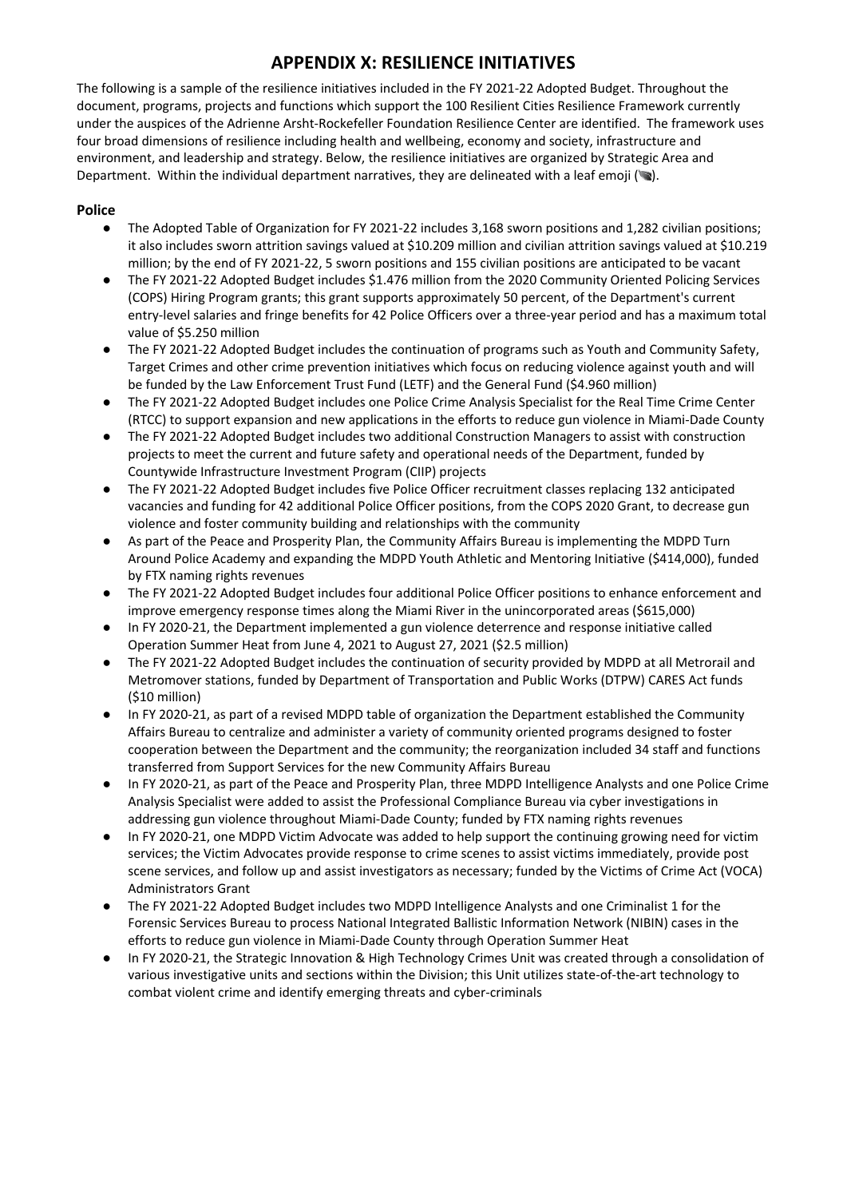The following is a sample of the resilience initiatives included in the FY 2021-22 Adopted Budget. Throughout the document, programs, projects and functions which support the 100 Resilient Cities Resilience Framework currently under the auspices of the Adrienne Arsht-Rockefeller Foundation Resilience Center are identified. The framework uses four broad dimensions of resilience including health and wellbeing, economy and society, infrastructure and environment, and leadership and strategy. Below, the resilience initiatives are organized by Strategic Area and Department. Within the individual department narratives, they are delineated with a leaf emoji ( $\blacktriangleright$ ).

### **Police**

- The Adopted Table of Organization for FY 2021-22 includes 3,168 sworn positions and 1,282 civilian positions; it also includes sworn attrition savings valued at \$10.209 million and civilian attrition savings valued at \$10.219 million; by the end of FY 2021-22, 5 sworn positions and 155 civilian positions are anticipated to be vacant
- The FY 2021-22 Adopted Budget includes \$1.476 million from the 2020 Community Oriented Policing Services (COPS) Hiring Program grants; this grant supports approximately 50 percent, of the Department's current entry-level salaries and fringe benefits for 42 Police Officers over a three-year period and has a maximum total value of \$5.250 million
- The FY 2021-22 Adopted Budget includes the continuation of programs such as Youth and Community Safety, Target Crimes and other crime prevention initiatives which focus on reducing violence against youth and will be funded by the Law Enforcement Trust Fund (LETF) and the General Fund (\$4.960 million)
- The FY 2021-22 Adopted Budget includes one Police Crime Analysis Specialist for the Real Time Crime Center (RTCC) to support expansion and new applications in the efforts to reduce gun violence in Miami-Dade County
- The FY 2021-22 Adopted Budget includes two additional Construction Managers to assist with construction projects to meet the current and future safety and operational needs of the Department, funded by Countywide Infrastructure Investment Program (CIIP) projects
- The FY 2021-22 Adopted Budget includes five Police Officer recruitment classes replacing 132 anticipated vacancies and funding for 42 additional Police Officer positions, from the COPS 2020 Grant, to decrease gun violence and foster community building and relationships with the community
- As part of the Peace and Prosperity Plan, the Community Affairs Bureau is implementing the MDPD Turn Around Police Academy and expanding the MDPD Youth Athletic and Mentoring Initiative (\$414,000), funded by FTX naming rights revenues
- The FY 2021-22 Adopted Budget includes four additional Police Officer positions to enhance enforcement and improve emergency response times along the Miami River in the unincorporated areas (\$615,000)
- In FY 2020-21, the Department implemented a gun violence deterrence and response initiative called Operation Summer Heat from June 4, 2021 to August 27, 2021 (\$2.5 million)
- The FY 2021-22 Adopted Budget includes the continuation of security provided by MDPD at all Metrorail and Metromover stations, funded by Department of Transportation and Public Works (DTPW) CARES Act funds (\$10 million)
- In FY 2020-21, as part of a revised MDPD table of organization the Department established the Community Affairs Bureau to centralize and administer a variety of community oriented programs designed to foster cooperation between the Department and the community; the reorganization included 34 staff and functions transferred from Support Services for the new Community Affairs Bureau
- In FY 2020-21, as part of the Peace and Prosperity Plan, three MDPD Intelligence Analysts and one Police Crime Analysis Specialist were added to assist the Professional Compliance Bureau via cyber investigations in addressing gun violence throughout Miami-Dade County; funded by FTX naming rights revenues
- In FY 2020-21, one MDPD Victim Advocate was added to help support the continuing growing need for victim services; the Victim Advocates provide response to crime scenes to assist victims immediately, provide post scene services, and follow up and assist investigators as necessary; funded by the Victims of Crime Act (VOCA) Administrators Grant
- The FY 2021-22 Adopted Budget includes two MDPD Intelligence Analysts and one Criminalist 1 for the Forensic Services Bureau to process National Integrated Ballistic Information Network (NIBIN) cases in the efforts to reduce gun violence in Miami-Dade County through Operation Summer Heat
- In FY 2020-21, the Strategic Innovation & High Technology Crimes Unit was created through a consolidation of various investigative units and sections within the Division; this Unit utilizes state-of-the-art technology to combat violent crime and identify emerging threats and cyber-criminals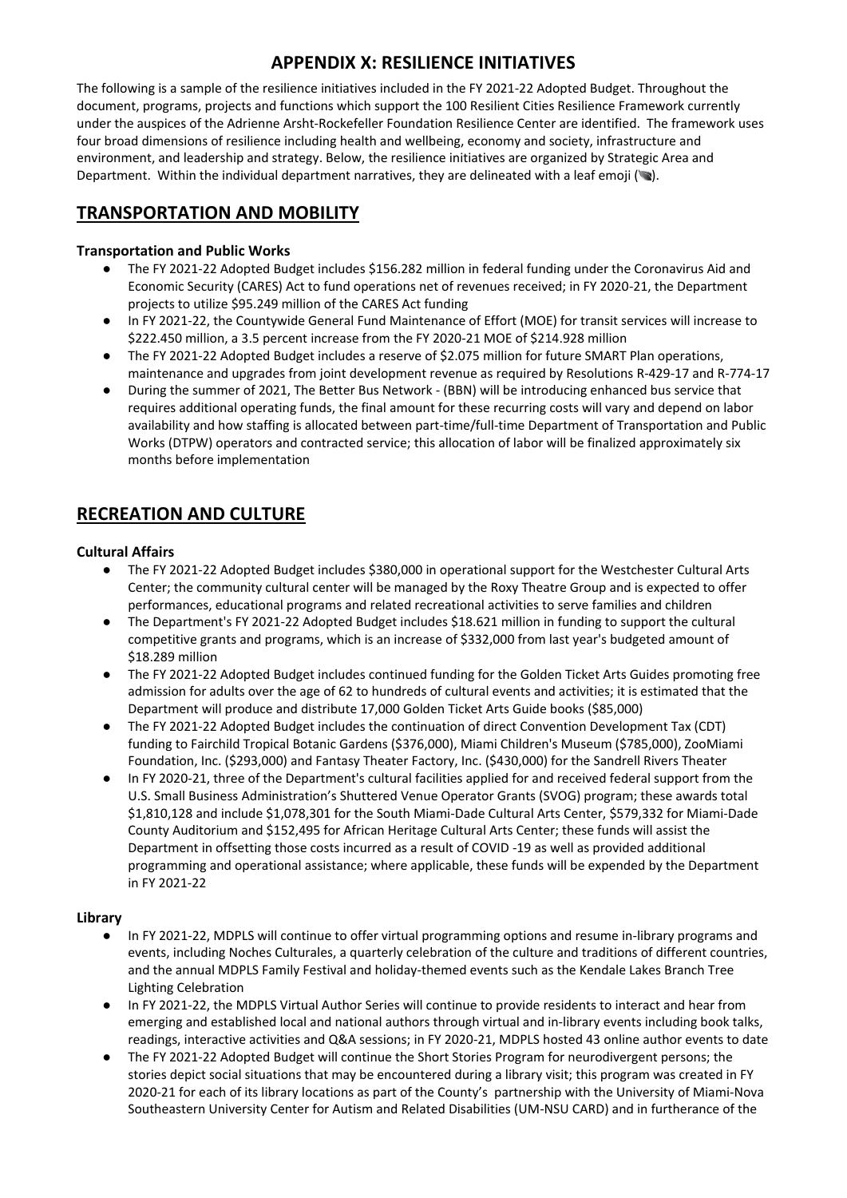The following is a sample of the resilience initiatives included in the FY 2021-22 Adopted Budget. Throughout the document, programs, projects and functions which support the 100 Resilient Cities Resilience Framework currently under the auspices of the Adrienne Arsht-Rockefeller Foundation Resilience Center are identified. The framework uses four broad dimensions of resilience including health and wellbeing, economy and society, infrastructure and environment, and leadership and strategy. Below, the resilience initiatives are organized by Strategic Area and Department. Within the individual department narratives, they are delineated with a leaf emoji ( $\blacktriangleright$ ).

# **TRANSPORTATION AND MOBILITY**

### **Transportation and Public Works**

- The FY 2021-22 Adopted Budget includes \$156.282 million in federal funding under the Coronavirus Aid and Economic Security (CARES) Act to fund operations net of revenues received; in FY 2020-21, the Department projects to utilize \$95.249 million of the CARES Act funding
- In FY 2021-22, the Countywide General Fund Maintenance of Effort (MOE) for transit services will increase to \$222.450 million, a 3.5 percent increase from the FY 2020-21 MOE of \$214.928 million
- The FY 2021-22 Adopted Budget includes a reserve of \$2.075 million for future SMART Plan operations, maintenance and upgrades from joint development revenue as required by Resolutions R-429-17 and R-774-17
- During the summer of 2021, The Better Bus Network (BBN) will be introducing enhanced bus service that requires additional operating funds, the final amount for these recurring costs will vary and depend on labor availability and how staffing is allocated between part-time/full-time Department of Transportation and Public Works (DTPW) operators and contracted service; this allocation of labor will be finalized approximately six months before implementation

# **RECREATION AND CULTURE**

### **Cultural Affairs**

- The FY 2021-22 Adopted Budget includes \$380,000 in operational support for the Westchester Cultural Arts Center; the community cultural center will be managed by the Roxy Theatre Group and is expected to offer performances, educational programs and related recreational activities to serve families and children
- The Department's FY 2021-22 Adopted Budget includes \$18.621 million in funding to support the cultural competitive grants and programs, which is an increase of \$332,000 from last year's budgeted amount of \$18.289 million
- The FY 2021-22 Adopted Budget includes continued funding for the Golden Ticket Arts Guides promoting free admission for adults over the age of 62 to hundreds of cultural events and activities; it is estimated that the Department will produce and distribute 17,000 Golden Ticket Arts Guide books (\$85,000)
- The FY 2021-22 Adopted Budget includes the continuation of direct Convention Development Tax (CDT) funding to Fairchild Tropical Botanic Gardens (\$376,000), Miami Children's Museum (\$785,000), ZooMiami Foundation, Inc. (\$293,000) and Fantasy Theater Factory, Inc. (\$430,000) for the Sandrell Rivers Theater
- In FY 2020-21, three of the Department's cultural facilities applied for and received federal support from the U.S. Small Business Administration's Shuttered Venue Operator Grants (SVOG) program; these awards total \$1,810,128 and include \$1,078,301 for the South Miami-Dade Cultural Arts Center, \$579,332 for Miami-Dade County Auditorium and \$152,495 for African Heritage Cultural Arts Center; these funds will assist the Department in offsetting those costs incurred as a result of COVID -19 as well as provided additional programming and operational assistance; where applicable, these funds will be expended by the Department in FY 2021-22

#### **Library**

- In FY 2021-22, MDPLS will continue to offer virtual programming options and resume in-library programs and events, including Noches Culturales, a quarterly celebration of the culture and traditions of different countries, and the annual MDPLS Family Festival and holiday-themed events such as the Kendale Lakes Branch Tree Lighting Celebration
- In FY 2021-22, the MDPLS Virtual Author Series will continue to provide residents to interact and hear from emerging and established local and national authors through virtual and in-library events including book talks, readings, interactive activities and Q&A sessions; in FY 2020-21, MDPLS hosted 43 online author events to date
- The FY 2021-22 Adopted Budget will continue the Short Stories Program for neurodivergent persons; the stories depict social situations that may be encountered during a library visit; this program was created in FY 2020-21 for each of its library locations as part of the County's partnership with the University of Miami-Nova Southeastern University Center for Autism and Related Disabilities (UM-NSU CARD) and in furtherance of the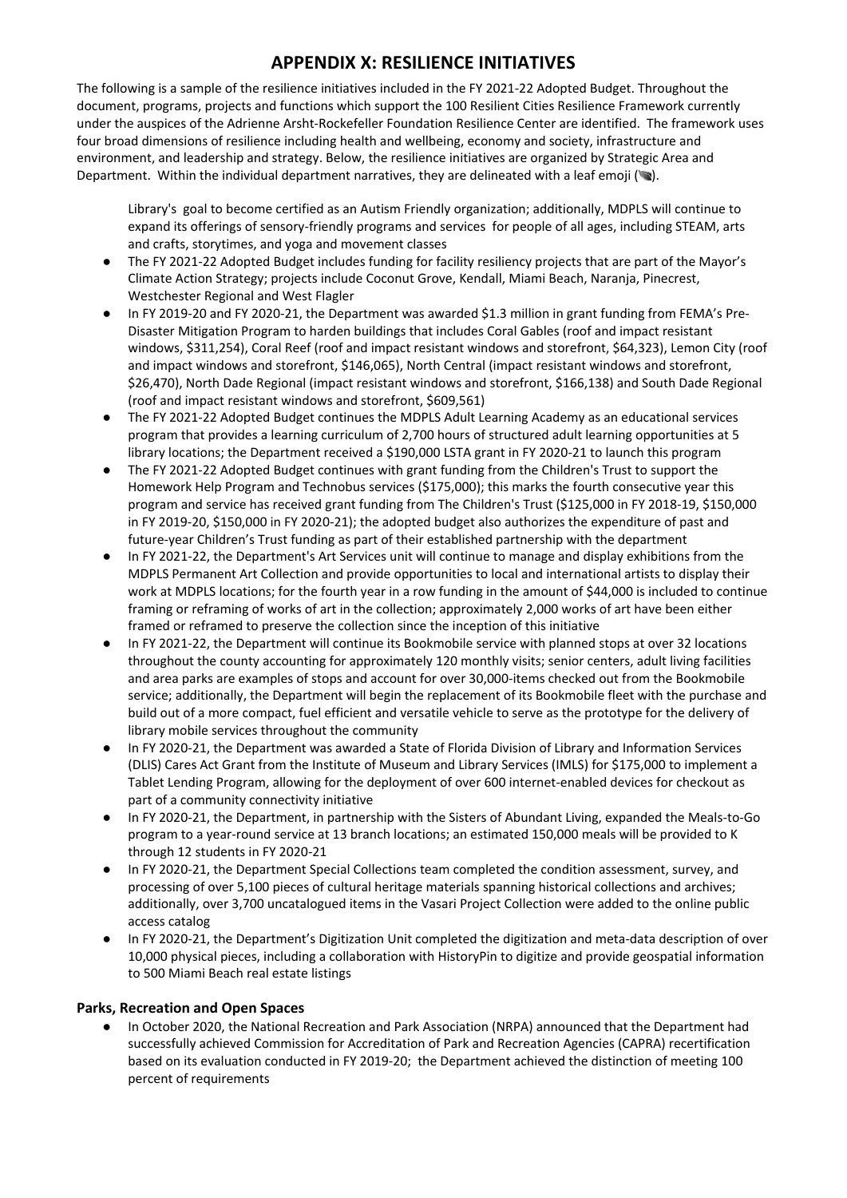The following is a sample of the resilience initiatives included in the FY 2021-22 Adopted Budget. Throughout the document, programs, projects and functions which support the 100 Resilient Cities Resilience Framework currently under the auspices of the Adrienne Arsht-Rockefeller Foundation Resilience Center are identified. The framework uses four broad dimensions of resilience including health and wellbeing, economy and society, infrastructure and environment, and leadership and strategy. Below, the resilience initiatives are organized by Strategic Area and Department. Within the individual department narratives, they are delineated with a leaf emoji ( $\bullet$ ).

Library's goal to become certified as an Autism Friendly organization; additionally, MDPLS will continue to expand its offerings of sensory-friendly programs and services for people of all ages, including STEAM, arts and crafts, storytimes, and yoga and movement classes

- The FY 2021-22 Adopted Budget includes funding for facility resiliency projects that are part of the Mayor's Climate Action Strategy; projects include Coconut Grove, Kendall, Miami Beach, Naranja, Pinecrest, Westchester Regional and West Flagler
- In FY 2019-20 and FY 2020-21, the Department was awarded \$1.3 million in grant funding from FEMA's Pre-Disaster Mitigation Program to harden buildings that includes Coral Gables (roof and impact resistant windows, \$311,254), Coral Reef (roof and impact resistant windows and storefront, \$64,323), Lemon City (roof and impact windows and storefront, \$146,065), North Central (impact resistant windows and storefront, \$26,470), North Dade Regional (impact resistant windows and storefront, \$166,138) and South Dade Regional (roof and impact resistant windows and storefront, \$609,561)
- The FY 2021-22 Adopted Budget continues the MDPLS Adult Learning Academy as an educational services program that provides a learning curriculum of 2,700 hours of structured adult learning opportunities at 5 library locations; the Department received a \$190,000 LSTA grant in FY 2020-21 to launch this program
- The FY 2021-22 Adopted Budget continues with grant funding from the Children's Trust to support the Homework Help Program and Technobus services (\$175,000); this marks the fourth consecutive year this program and service has received grant funding from The Children's Trust (\$125,000 in FY 2018-19, \$150,000 in FY 2019-20, \$150,000 in FY 2020-21); the adopted budget also authorizes the expenditure of past and future-year Children's Trust funding as part of their established partnership with the department
- In FY 2021-22, the Department's Art Services unit will continue to manage and display exhibitions from the MDPLS Permanent Art Collection and provide opportunities to local and international artists to display their work at MDPLS locations; for the fourth year in a row funding in the amount of \$44,000 is included to continue framing or reframing of works of art in the collection; approximately 2,000 works of art have been either framed or reframed to preserve the collection since the inception of this initiative
- In FY 2021-22, the Department will continue its Bookmobile service with planned stops at over 32 locations throughout the county accounting for approximately 120 monthly visits; senior centers, adult living facilities and area parks are examples of stops and account for over 30,000-items checked out from the Bookmobile service; additionally, the Department will begin the replacement of its Bookmobile fleet with the purchase and build out of a more compact, fuel efficient and versatile vehicle to serve as the prototype for the delivery of library mobile services throughout the community
- In FY 2020-21, the Department was awarded a State of Florida Division of Library and Information Services (DLIS) Cares Act Grant from the Institute of Museum and Library Services (IMLS) for \$175,000 to implement a Tablet Lending Program, allowing for the deployment of over 600 internet-enabled devices for checkout as part of a community connectivity initiative
- In FY 2020-21, the Department, in partnership with the Sisters of Abundant Living, expanded the Meals-to-Go program to a year-round service at 13 branch locations; an estimated 150,000 meals will be provided to K through 12 students in FY 2020-21
- In FY 2020-21, the Department Special Collections team completed the condition assessment, survey, and processing of over 5,100 pieces of cultural heritage materials spanning historical collections and archives; additionally, over 3,700 uncatalogued items in the Vasari Project Collection were added to the online public access catalog
- In FY 2020-21, the Department's Digitization Unit completed the digitization and meta-data description of over 10,000 physical pieces, including a collaboration with HistoryPin to digitize and provide geospatial information to 500 Miami Beach real estate listings

### **Parks, Recreation and Open Spaces**

● In October 2020, the National Recreation and Park Association (NRPA) announced that the Department had successfully achieved Commission for Accreditation of Park and Recreation Agencies (CAPRA) recertification based on its evaluation conducted in FY 2019-20; the Department achieved the distinction of meeting 100 percent of requirements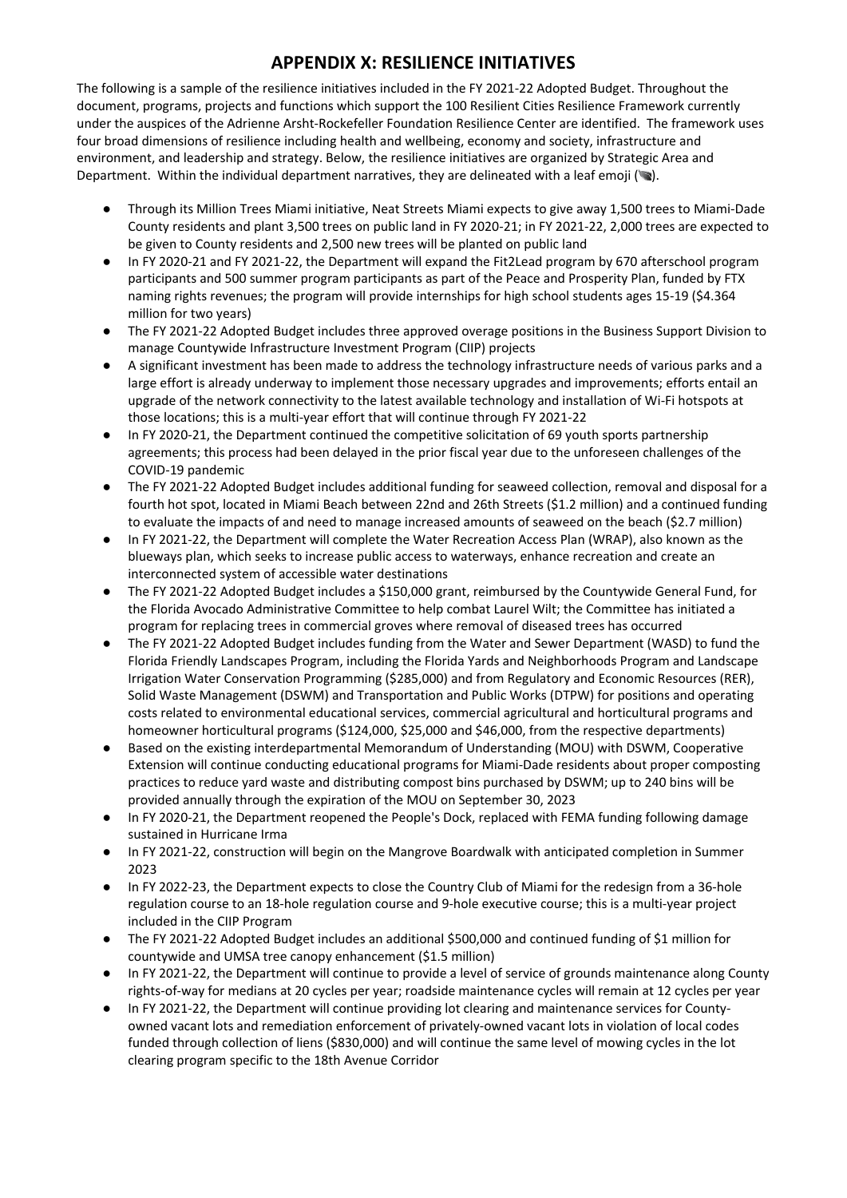The following is a sample of the resilience initiatives included in the FY 2021-22 Adopted Budget. Throughout the document, programs, projects and functions which support the 100 Resilient Cities Resilience Framework currently under the auspices of the Adrienne Arsht-Rockefeller Foundation Resilience Center are identified. The framework uses four broad dimensions of resilience including health and wellbeing, economy and society, infrastructure and environment, and leadership and strategy. Below, the resilience initiatives are organized by Strategic Area and Department. Within the individual department narratives, they are delineated with a leaf emoji ( $\blacktriangleright$ ).

- Through its Million Trees Miami initiative, Neat Streets Miami expects to give away 1,500 trees to Miami‐Dade County residents and plant 3,500 trees on public land in FY 2020-21; in FY 2021-22, 2,000 trees are expected to be given to County residents and 2,500 new trees will be planted on public land
- In FY 2020-21 and FY 2021-22, the Department will expand the Fit2Lead program by 670 afterschool program participants and 500 summer program participants as part of the Peace and Prosperity Plan, funded by FTX naming rights revenues; the program will provide internships for high school students ages 15-19 (\$4.364 million for two years)
- The FY 2021-22 Adopted Budget includes three approved overage positions in the Business Support Division to manage Countywide Infrastructure Investment Program (CIIP) projects
- A significant investment has been made to address the technology infrastructure needs of various parks and a large effort is already underway to implement those necessary upgrades and improvements; efforts entail an upgrade of the network connectivity to the latest available technology and installation of Wi‐Fi hotspots at those locations; this is a multi‐year effort that will continue through FY 2021-22
- In FY 2020-21, the Department continued the competitive solicitation of 69 youth sports partnership agreements; this process had been delayed in the prior fiscal year due to the unforeseen challenges of the COVID-19 pandemic
- The FY 2021-22 Adopted Budget includes additional funding for seaweed collection, removal and disposal for a fourth hot spot, located in Miami Beach between 22nd and 26th Streets (\$1.2 million) and a continued funding to evaluate the impacts of and need to manage increased amounts of seaweed on the beach (\$2.7 million)
- In FY 2021-22, the Department will complete the Water Recreation Access Plan (WRAP), also known as the blueways plan, which seeks to increase public access to waterways, enhance recreation and create an interconnected system of accessible water destinations
- The FY 2021-22 Adopted Budget includes a \$150,000 grant, reimbursed by the Countywide General Fund, for the Florida Avocado Administrative Committee to help combat Laurel Wilt; the Committee has initiated a program for replacing trees in commercial groves where removal of diseased trees has occurred
- The FY 2021-22 Adopted Budget includes funding from the Water and Sewer Department (WASD) to fund the Florida Friendly Landscapes Program, including the Florida Yards and Neighborhoods Program and Landscape Irrigation Water Conservation Programming (\$285,000) and from Regulatory and Economic Resources (RER), Solid Waste Management (DSWM) and Transportation and Public Works (DTPW) for positions and operating costs related to environmental educational services, commercial agricultural and horticultural programs and homeowner horticultural programs (\$124,000, \$25,000 and \$46,000, from the respective departments)
- Based on the existing interdepartmental Memorandum of Understanding (MOU) with DSWM, Cooperative Extension will continue conducting educational programs for Miami‐Dade residents about proper composting practices to reduce yard waste and distributing compost bins purchased by DSWM; up to 240 bins will be provided annually through the expiration of the MOU on September 30, 2023
- In FY 2020‐21, the Department reopened the People's Dock, replaced with FEMA funding following damage sustained in Hurricane Irma
- In FY 2021-22, construction will begin on the Mangrove Boardwalk with anticipated completion in Summer 2023
- In FY 2022-23, the Department expects to close the Country Club of Miami for the redesign from a 36-hole regulation course to an 18‐hole regulation course and 9‐hole executive course; this is a multi‐year project included in the CIIP Program
- The FY 2021-22 Adopted Budget includes an additional \$500,000 and continued funding of \$1 million for countywide and UMSA tree canopy enhancement (\$1.5 million)
- In FY 2021-22, the Department will continue to provide a level of service of grounds maintenance along County rights‐of‐way for medians at 20 cycles per year; roadside maintenance cycles will remain at 12 cycles per year
- In FY 2021-22, the Department will continue providing lot clearing and maintenance services for Countyowned vacant lots and remediation enforcement of privately‐owned vacant lots in violation of local codes funded through collection of liens (\$830,000) and will continue the same level of mowing cycles in the lot clearing program specific to the 18th Avenue Corridor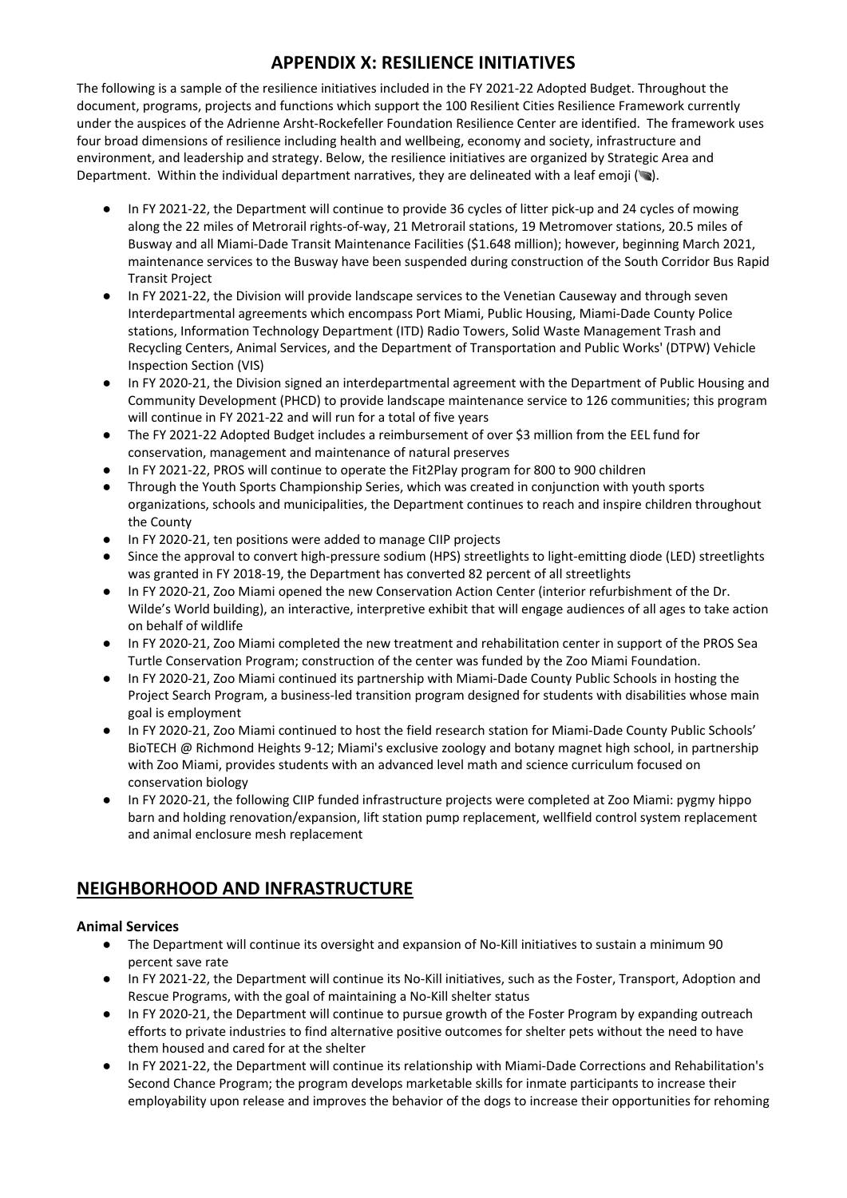The following is a sample of the resilience initiatives included in the FY 2021-22 Adopted Budget. Throughout the document, programs, projects and functions which support the 100 Resilient Cities Resilience Framework currently under the auspices of the Adrienne Arsht-Rockefeller Foundation Resilience Center are identified. The framework uses four broad dimensions of resilience including health and wellbeing, economy and society, infrastructure and environment, and leadership and strategy. Below, the resilience initiatives are organized by Strategic Area and Department. Within the individual department narratives, they are delineated with a leaf emoji ( $\bullet$ ).

- In FY 2021-22, the Department will continue to provide 36 cycles of litter pick-up and 24 cycles of mowing along the 22 miles of Metrorail rights‐of‐way, 21 Metrorail stations, 19 Metromover stations, 20.5 miles of Busway and all Miami‐Dade Transit Maintenance Facilities (\$1.648 million); however, beginning March 2021, maintenance services to the Busway have been suspended during construction of the South Corridor Bus Rapid Transit Project
- In FY 2021-22, the Division will provide landscape services to the Venetian Causeway and through seven Interdepartmental agreements which encompass Port Miami, Public Housing, Miami‐Dade County Police stations, Information Technology Department (ITD) Radio Towers, Solid Waste Management Trash and Recycling Centers, Animal Services, and the Department of Transportation and Public Works' (DTPW) Vehicle Inspection Section (VIS)
- In FY 2020-21, the Division signed an interdepartmental agreement with the Department of Public Housing and Community Development (PHCD) to provide landscape maintenance service to 126 communities; this program will continue in FY 2021-22 and will run for a total of five years
- The FY 2021-22 Adopted Budget includes a reimbursement of over \$3 million from the EEL fund for conservation, management and maintenance of natural preserves
- In FY 2021-22, PROS will continue to operate the Fit2Play program for 800 to 900 children
- Through the Youth Sports Championship Series, which was created in conjunction with youth sports organizations, schools and municipalities, the Department continues to reach and inspire children throughout the County
- In FY 2020-21, ten positions were added to manage CIIP projects
- Since the approval to convert high-pressure sodium (HPS) streetlights to light-emitting diode (LED) streetlights was granted in FY 2018‐19, the Department has converted 82 percent of all streetlights
- In FY 2020-21, Zoo Miami opened the new Conservation Action Center (interior refurbishment of the Dr. Wilde's World building), an interactive, interpretive exhibit that will engage audiences of all ages to take action on behalf of wildlife
- In FY 2020-21, Zoo Miami completed the new treatment and rehabilitation center in support of the PROS Sea Turtle Conservation Program; construction of the center was funded by the Zoo Miami Foundation.
- In FY 2020-21, Zoo Miami continued its partnership with Miami-Dade County Public Schools in hosting the Project Search Program, a business-led transition program designed for students with disabilities whose main goal is employment
- In FY 2020-21, Zoo Miami continued to host the field research station for Miami-Dade County Public Schools' BioTECH @ Richmond Heights 9-12; Miami's exclusive zoology and botany magnet high school, in partnership with Zoo Miami, provides students with an advanced level math and science curriculum focused on conservation biology
- In FY 2020-21, the following CIIP funded infrastructure projects were completed at Zoo Miami: pygmy hippo barn and holding renovation/expansion, lift station pump replacement, wellfield control system replacement and animal enclosure mesh replacement

# **NEIGHBORHOOD AND INFRASTRUCTURE**

### **Animal Services**

- The Department will continue its oversight and expansion of No-Kill initiatives to sustain a minimum 90 percent save rate
- In FY 2021-22, the Department will continue its No-Kill initiatives, such as the Foster, Transport, Adoption and Rescue Programs, with the goal of maintaining a No‐Kill shelter status
- In FY 2020-21, the Department will continue to pursue growth of the Foster Program by expanding outreach efforts to private industries to find alternative positive outcomes for shelter pets without the need to have them housed and cared for at the shelter
- In FY 2021-22, the Department will continue its relationship with Miami-Dade Corrections and Rehabilitation's Second Chance Program; the program develops marketable skills for inmate participants to increase their employability upon release and improves the behavior of the dogs to increase their opportunities for rehoming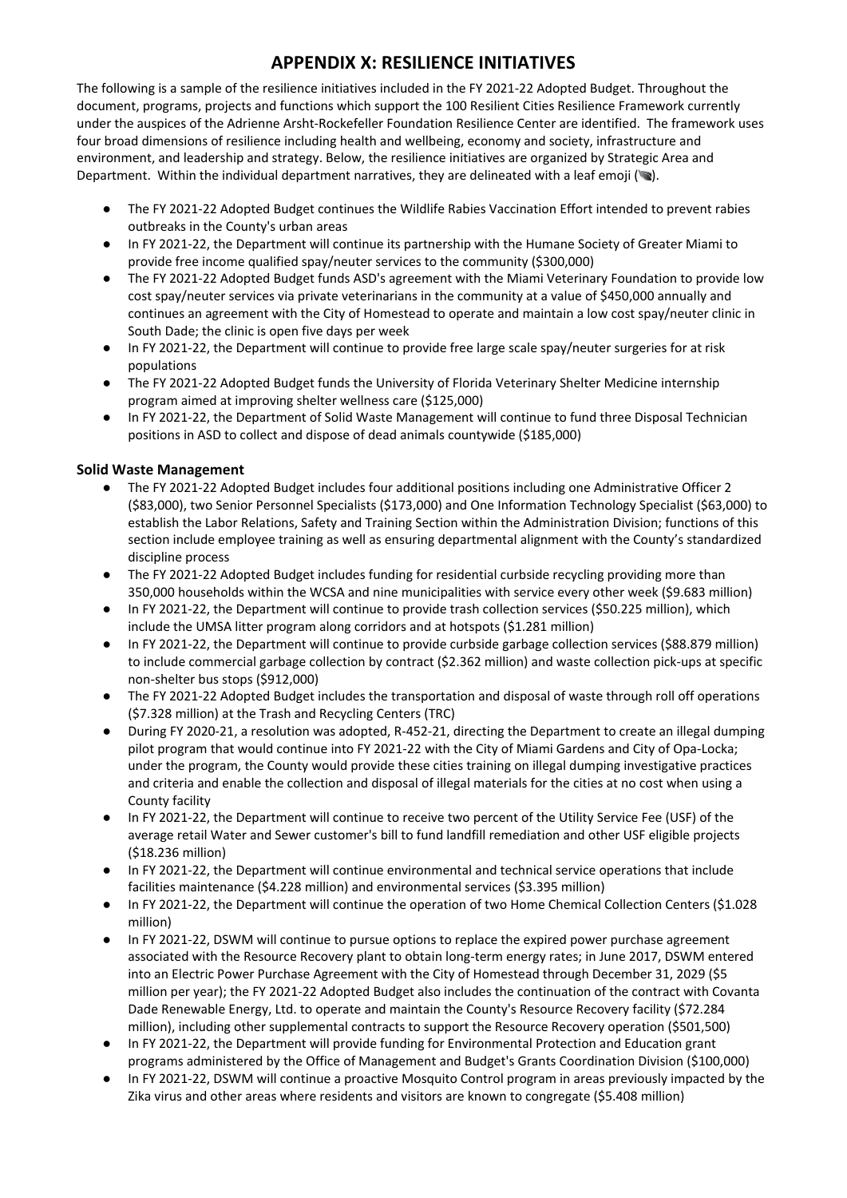The following is a sample of the resilience initiatives included in the FY 2021-22 Adopted Budget. Throughout the document, programs, projects and functions which support the 100 Resilient Cities Resilience Framework currently under the auspices of the Adrienne Arsht-Rockefeller Foundation Resilience Center are identified. The framework uses four broad dimensions of resilience including health and wellbeing, economy and society, infrastructure and environment, and leadership and strategy. Below, the resilience initiatives are organized by Strategic Area and Department. Within the individual department narratives, they are delineated with a leaf emoji ( $\bullet$ ).

- The FY 2021-22 Adopted Budget continues the Wildlife Rabies Vaccination Effort intended to prevent rabies outbreaks in the County's urban areas
- In FY 2021-22, the Department will continue its partnership with the Humane Society of Greater Miami to provide free income qualified spay/neuter services to the community (\$300,000)
- The FY 2021-22 Adopted Budget funds ASD's agreement with the Miami Veterinary Foundation to provide low cost spay/neuter services via private veterinarians in the community at a value of \$450,000 annually and continues an agreement with the City of Homestead to operate and maintain a low cost spay/neuter clinic in South Dade; the clinic is open five days per week
- In FY 2021-22, the Department will continue to provide free large scale spay/neuter surgeries for at risk populations
- The FY 2021-22 Adopted Budget funds the University of Florida Veterinary Shelter Medicine internship program aimed at improving shelter wellness care (\$125,000)
- In FY 2021-22, the Department of Solid Waste Management will continue to fund three Disposal Technician positions in ASD to collect and dispose of dead animals countywide (\$185,000)

### **Solid Waste Management**

- The FY 2021-22 Adopted Budget includes four additional positions including one Administrative Officer 2 (\$83,000), two Senior Personnel Specialists (\$173,000) and One Information Technology Specialist (\$63,000) to establish the Labor Relations, Safety and Training Section within the Administration Division; functions of this section include employee training as well as ensuring departmental alignment with the County's standardized discipline process
- The FY 2021-22 Adopted Budget includes funding for residential curbside recycling providing more than 350,000 households within the WCSA and nine municipalities with service every other week (\$9.683 million)
- In FY 2021-22, the Department will continue to provide trash collection services (\$50.225 million), which include the UMSA litter program along corridors and at hotspots (\$1.281 million)
- In FY 2021-22, the Department will continue to provide curbside garbage collection services (\$88.879 million) to include commercial garbage collection by contract (\$2.362 million) and waste collection pick-ups at specific non-shelter bus stops (\$912,000)
- The FY 2021-22 Adopted Budget includes the transportation and disposal of waste through roll off operations (\$7.328 million) at the Trash and Recycling Centers (TRC)
- During FY 2020-21, a resolution was adopted, R-452-21, directing the Department to create an illegal dumping pilot program that would continue into FY 2021-22 with the City of Miami Gardens and City of Opa-Locka; under the program, the County would provide these cities training on illegal dumping investigative practices and criteria and enable the collection and disposal of illegal materials for the cities at no cost when using a County facility
- In FY 2021-22, the Department will continue to receive two percent of the Utility Service Fee (USF) of the average retail Water and Sewer customer's bill to fund landfill remediation and other USF eligible projects (\$18.236 million)
- In FY 2021-22, the Department will continue environmental and technical service operations that include facilities maintenance (\$4.228 million) and environmental services (\$3.395 million)
- In FY 2021-22, the Department will continue the operation of two Home Chemical Collection Centers (\$1.028 million)
- In FY 2021-22, DSWM will continue to pursue options to replace the expired power purchase agreement associated with the Resource Recovery plant to obtain long-term energy rates; in June 2017, DSWM entered into an Electric Power Purchase Agreement with the City of Homestead through December 31, 2029 (\$5 million per year); the FY 2021-22 Adopted Budget also includes the continuation of the contract with Covanta Dade Renewable Energy, Ltd. to operate and maintain the County's Resource Recovery facility (\$72.284 million), including other supplemental contracts to support the Resource Recovery operation (\$501,500)
- In FY 2021-22, the Department will provide funding for Environmental Protection and Education grant programs administered by the Office of Management and Budget's Grants Coordination Division (\$100,000)
- In FY 2021-22, DSWM will continue a proactive Mosquito Control program in areas previously impacted by the Zika virus and other areas where residents and visitors are known to congregate (\$5.408 million)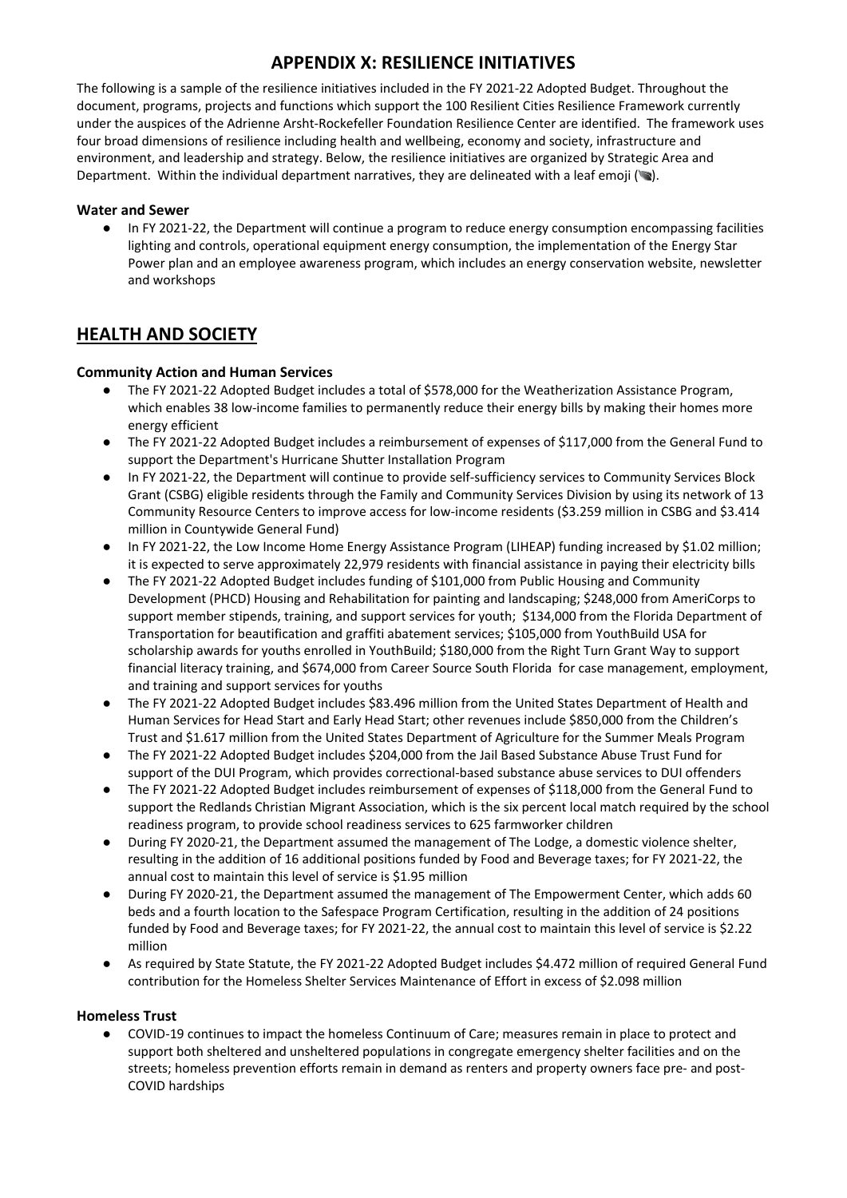The following is a sample of the resilience initiatives included in the FY 2021-22 Adopted Budget. Throughout the document, programs, projects and functions which support the 100 Resilient Cities Resilience Framework currently under the auspices of the Adrienne Arsht-Rockefeller Foundation Resilience Center are identified. The framework uses four broad dimensions of resilience including health and wellbeing, economy and society, infrastructure and environment, and leadership and strategy. Below, the resilience initiatives are organized by Strategic Area and Department. Within the individual department narratives, they are delineated with a leaf emoji  $(\bullet)$ .

#### **Water and Sewer**

● In FY 2021-22, the Department will continue a program to reduce energy consumption encompassing facilities lighting and controls, operational equipment energy consumption, the implementation of the Energy Star Power plan and an employee awareness program, which includes an energy conservation website, newsletter and workshops

### **HEALTH AND SOCIETY**

### **Community Action and Human Services**

- The FY 2021-22 Adopted Budget includes a total of \$578,000 for the Weatherization Assistance Program, which enables 38 low-income families to permanently reduce their energy bills by making their homes more energy efficient
- The FY 2021-22 Adopted Budget includes a reimbursement of expenses of \$117,000 from the General Fund to support the Department's Hurricane Shutter Installation Program
- In FY 2021-22, the Department will continue to provide self-sufficiency services to Community Services Block Grant (CSBG) eligible residents through the Family and Community Services Division by using its network of 13 Community Resource Centers to improve access for low-income residents (\$3.259 million in CSBG and \$3.414 million in Countywide General Fund)
- In FY 2021-22, the Low Income Home Energy Assistance Program (LIHEAP) funding increased by \$1.02 million; it is expected to serve approximately 22,979 residents with financial assistance in paying their electricity bills
- The FY 2021-22 Adopted Budget includes funding of \$101,000 from Public Housing and Community Development (PHCD) Housing and Rehabilitation for painting and landscaping; \$248,000 from AmeriCorps to support member stipends, training, and support services for youth; \$134,000 from the Florida Department of Transportation for beautification and graffiti abatement services; \$105,000 from YouthBuild USA for scholarship awards for youths enrolled in YouthBuild; \$180,000 from the Right Turn Grant Way to support financial literacy training, and \$674,000 from Career Source South Florida for case management, employment, and training and support services for youths
- The FY 2021-22 Adopted Budget includes \$83.496 million from the United States Department of Health and Human Services for Head Start and Early Head Start; other revenues include \$850,000 from the Children's Trust and \$1.617 million from the United States Department of Agriculture for the Summer Meals Program
- The FY 2021-22 Adopted Budget includes \$204,000 from the Jail Based Substance Abuse Trust Fund for support of the DUI Program, which provides correctional‐based substance abuse services to DUI offenders
- The FY 2021-22 Adopted Budget includes reimbursement of expenses of \$118,000 from the General Fund to support the Redlands Christian Migrant Association, which is the six percent local match required by the school readiness program, to provide school readiness services to 625 farmworker children
- During FY 2020-21, the Department assumed the management of The Lodge, a domestic violence shelter, resulting in the addition of 16 additional positions funded by Food and Beverage taxes; for FY 2021‐22, the annual cost to maintain this level of service is \$1.95 million
- During FY 2020-21, the Department assumed the management of The Empowerment Center, which adds 60 beds and a fourth location to the Safespace Program Certification, resulting in the addition of 24 positions funded by Food and Beverage taxes; for FY 2021‐22, the annual cost to maintain this level of service is \$2.22 million
- As required by State Statute, the FY 2021-22 Adopted Budget includes \$4.472 million of required General Fund contribution for the Homeless Shelter Services Maintenance of Effort in excess of \$2.098 million

#### **Homeless Trust**

● COVID-19 continues to impact the homeless Continuum of Care; measures remain in place to protect and support both sheltered and unsheltered populations in congregate emergency shelter facilities and on the streets; homeless prevention efforts remain in demand as renters and property owners face pre- and post-COVID hardships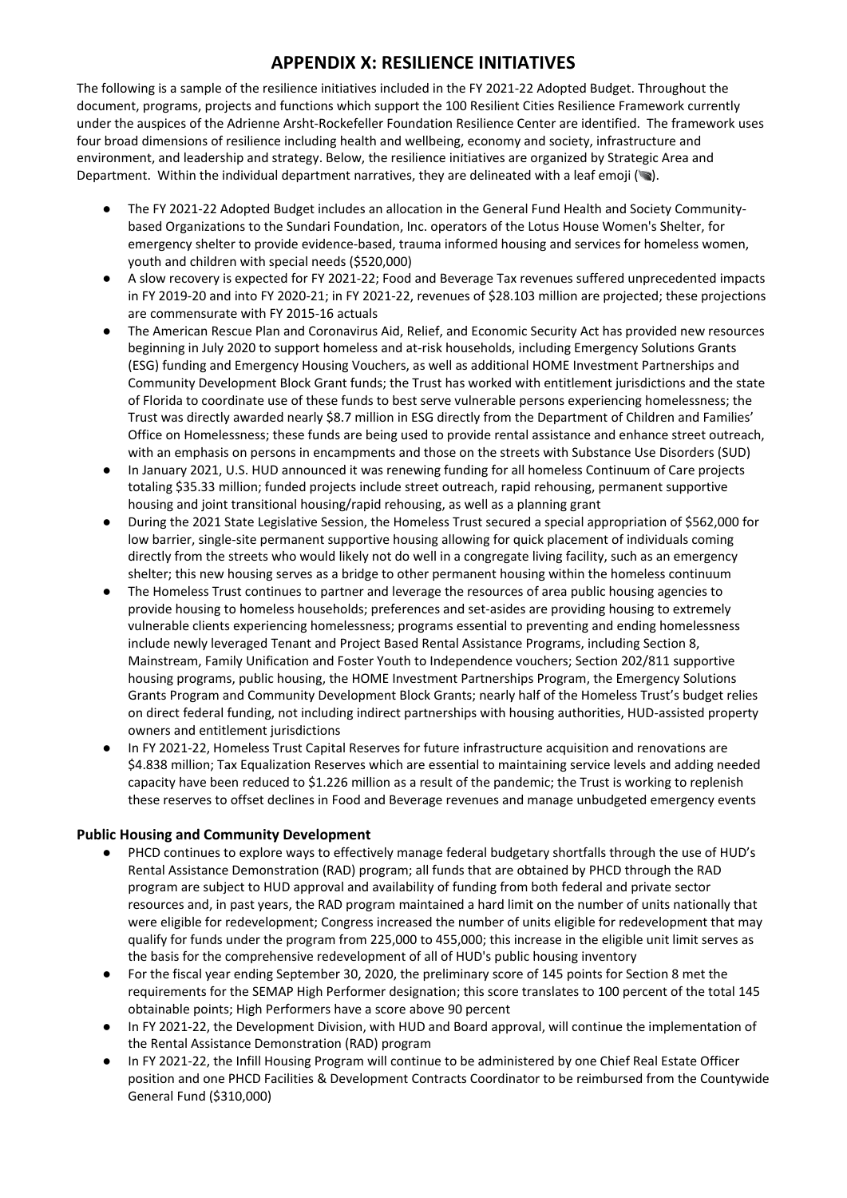The following is a sample of the resilience initiatives included in the FY 2021-22 Adopted Budget. Throughout the document, programs, projects and functions which support the 100 Resilient Cities Resilience Framework currently under the auspices of the Adrienne Arsht-Rockefeller Foundation Resilience Center are identified. The framework uses four broad dimensions of resilience including health and wellbeing, economy and society, infrastructure and environment, and leadership and strategy. Below, the resilience initiatives are organized by Strategic Area and Department. Within the individual department narratives, they are delineated with a leaf emoji ( $\blacktriangleright$ ).

- The FY 2021-22 Adopted Budget includes an allocation in the General Fund Health and Society Communitybased Organizations to the Sundari Foundation, Inc. operators of the Lotus House Women's Shelter, for emergency shelter to provide evidence-based, trauma informed housing and services for homeless women, youth and children with special needs (\$520,000)
- A slow recovery is expected for FY 2021-22; Food and Beverage Tax revenues suffered unprecedented impacts in FY 2019-20 and into FY 2020-21; in FY 2021-22, revenues of \$28.103 million are projected; these projections are commensurate with FY 2015-16 actuals
- The American Rescue Plan and Coronavirus Aid, Relief, and Economic Security Act has provided new resources beginning in July 2020 to support homeless and at-risk households, including Emergency Solutions Grants (ESG) funding and Emergency Housing Vouchers, as well as additional HOME Investment Partnerships and Community Development Block Grant funds; the Trust has worked with entitlement jurisdictions and the state of Florida to coordinate use of these funds to best serve vulnerable persons experiencing homelessness; the Trust was directly awarded nearly \$8.7 million in ESG directly from the Department of Children and Families' Office on Homelessness; these funds are being used to provide rental assistance and enhance street outreach, with an emphasis on persons in encampments and those on the streets with Substance Use Disorders (SUD)
- In January 2021, U.S. HUD announced it was renewing funding for all homeless Continuum of Care projects totaling \$35.33 million; funded projects include street outreach, rapid rehousing, permanent supportive housing and joint transitional housing/rapid rehousing, as well as a planning grant
- During the 2021 State Legislative Session, the Homeless Trust secured a special appropriation of \$562,000 for low barrier, single-site permanent supportive housing allowing for quick placement of individuals coming directly from the streets who would likely not do well in a congregate living facility, such as an emergency shelter; this new housing serves as a bridge to other permanent housing within the homeless continuum
- The Homeless Trust continues to partner and leverage the resources of area public housing agencies to provide housing to homeless households; preferences and set-asides are providing housing to extremely vulnerable clients experiencing homelessness; programs essential to preventing and ending homelessness include newly leveraged Tenant and Project Based Rental Assistance Programs, including Section 8, Mainstream, Family Unification and Foster Youth to Independence vouchers; Section 202/811 supportive housing programs, public housing, the HOME Investment Partnerships Program, the Emergency Solutions Grants Program and Community Development Block Grants; nearly half of the Homeless Trust's budget relies on direct federal funding, not including indirect partnerships with housing authorities, HUD-assisted property owners and entitlement jurisdictions
- In FY 2021-22, Homeless Trust Capital Reserves for future infrastructure acquisition and renovations are \$4.838 million; Tax Equalization Reserves which are essential to maintaining service levels and adding needed capacity have been reduced to \$1.226 million as a result of the pandemic; the Trust is working to replenish these reserves to offset declines in Food and Beverage revenues and manage unbudgeted emergency events

#### **Public Housing and Community Development**

- PHCD continues to explore ways to effectively manage federal budgetary shortfalls through the use of HUD's Rental Assistance Demonstration (RAD) program; all funds that are obtained by PHCD through the RAD program are subject to HUD approval and availability of funding from both federal and private sector resources and, in past years, the RAD program maintained a hard limit on the number of units nationally that were eligible for redevelopment; Congress increased the number of units eligible for redevelopment that may qualify for funds under the program from 225,000 to 455,000; this increase in the eligible unit limit serves as the basis for the comprehensive redevelopment of all of HUD's public housing inventory
- For the fiscal year ending September 30, 2020, the preliminary score of 145 points for Section 8 met the requirements for the SEMAP High Performer designation; this score translates to 100 percent of the total 145 obtainable points; High Performers have a score above 90 percent
- In FY 2021-22, the Development Division, with HUD and Board approval, will continue the implementation of the Rental Assistance Demonstration (RAD) program
- In FY 2021-22, the Infill Housing Program will continue to be administered by one Chief Real Estate Officer position and one PHCD Facilities & Development Contracts Coordinator to be reimbursed from the Countywide General Fund (\$310,000)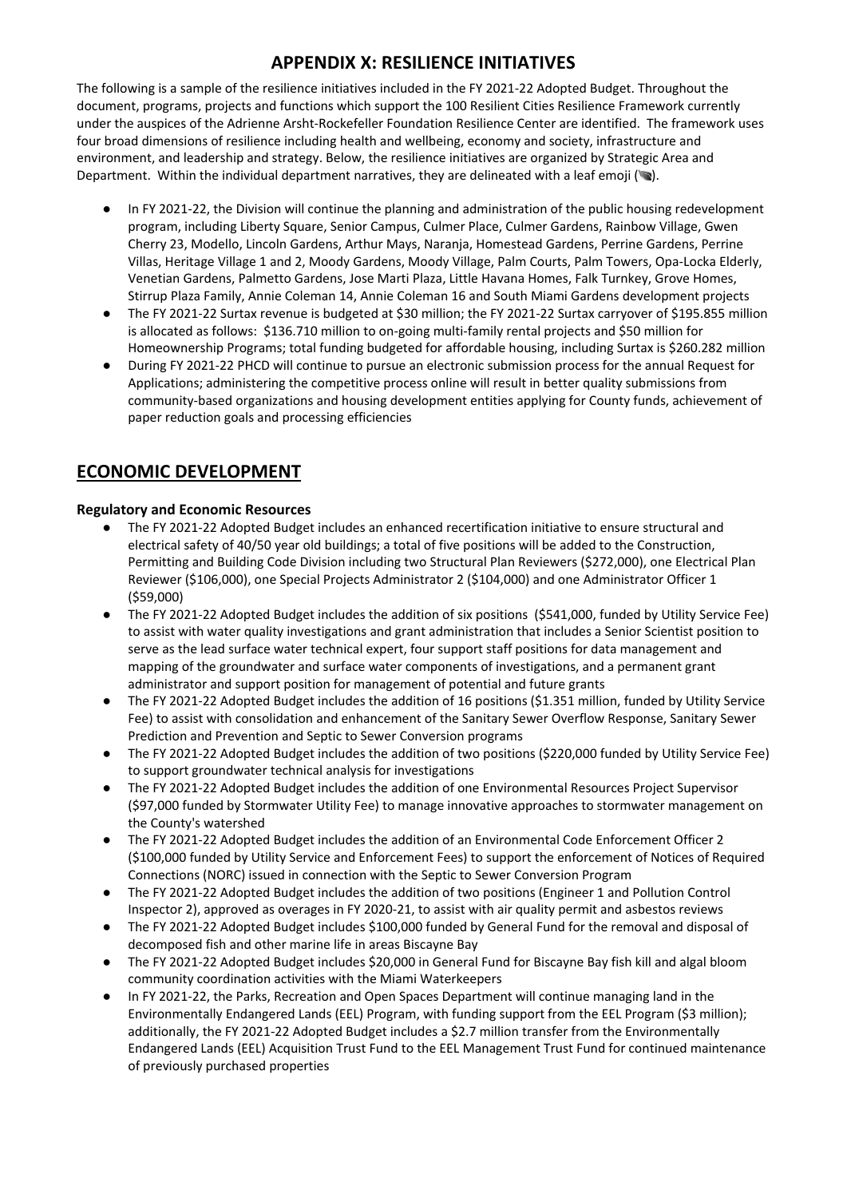The following is a sample of the resilience initiatives included in the FY 2021-22 Adopted Budget. Throughout the document, programs, projects and functions which support the 100 Resilient Cities Resilience Framework currently under the auspices of the Adrienne Arsht-Rockefeller Foundation Resilience Center are identified. The framework uses four broad dimensions of resilience including health and wellbeing, economy and society, infrastructure and environment, and leadership and strategy. Below, the resilience initiatives are organized by Strategic Area and Department. Within the individual department narratives, they are delineated with a leaf emoji ( $\blacktriangleright$ ).

- In FY 2021-22, the Division will continue the planning and administration of the public housing redevelopment program, including Liberty Square, Senior Campus, Culmer Place, Culmer Gardens, Rainbow Village, Gwen Cherry 23, Modello, Lincoln Gardens, Arthur Mays, Naranja, Homestead Gardens, Perrine Gardens, Perrine Villas, Heritage Village 1 and 2, Moody Gardens, Moody Village, Palm Courts, Palm Towers, Opa-Locka Elderly, Venetian Gardens, Palmetto Gardens, Jose Marti Plaza, Little Havana Homes, Falk Turnkey, Grove Homes, Stirrup Plaza Family, Annie Coleman 14, Annie Coleman 16 and South Miami Gardens development projects
- The FY 2021-22 Surtax revenue is budgeted at \$30 million; the FY 2021-22 Surtax carryover of \$195.855 million is allocated as follows: \$136.710 million to on-going multi-family rental projects and \$50 million for Homeownership Programs; total funding budgeted for affordable housing, including Surtax is \$260.282 million
- During FY 2021-22 PHCD will continue to pursue an electronic submission process for the annual Request for Applications; administering the competitive process online will result in better quality submissions from community-based organizations and housing development entities applying for County funds, achievement of paper reduction goals and processing efficiencies

# **ECONOMIC DEVELOPMENT**

### **Regulatory and Economic Resources**

- The FY 2021-22 Adopted Budget includes an enhanced recertification initiative to ensure structural and electrical safety of 40/50 year old buildings; a total of five positions will be added to the Construction, Permitting and Building Code Division including two Structural Plan Reviewers (\$272,000), one Electrical Plan Reviewer (\$106,000), one Special Projects Administrator 2 (\$104,000) and one Administrator Officer 1 (\$59,000)
- The FY 2021-22 Adopted Budget includes the addition of six positions (\$541,000, funded by Utility Service Fee) to assist with water quality investigations and grant administration that includes a Senior Scientist position to serve as the lead surface water technical expert, four support staff positions for data management and mapping of the groundwater and surface water components of investigations, and a permanent grant administrator and support position for management of potential and future grants
- The FY 2021-22 Adopted Budget includes the addition of 16 positions (\$1.351 million, funded by Utility Service Fee) to assist with consolidation and enhancement of the Sanitary Sewer Overflow Response, Sanitary Sewer Prediction and Prevention and Septic to Sewer Conversion programs
- The FY 2021-22 Adopted Budget includes the addition of two positions (\$220,000 funded by Utility Service Fee) to support groundwater technical analysis for investigations
- The FY 2021-22 Adopted Budget includes the addition of one Environmental Resources Project Supervisor (\$97,000 funded by Stormwater Utility Fee) to manage innovative approaches to stormwater management on the County's watershed
- The FY 2021-22 Adopted Budget includes the addition of an Environmental Code Enforcement Officer 2 (\$100,000 funded by Utility Service and Enforcement Fees) to support the enforcement of Notices of Required Connections (NORC) issued in connection with the Septic to Sewer Conversion Program
- The FY 2021-22 Adopted Budget includes the addition of two positions (Engineer 1 and Pollution Control Inspector 2), approved as overages in FY 2020-21, to assist with air quality permit and asbestos reviews
- The FY 2021-22 Adopted Budget includes \$100,000 funded by General Fund for the removal and disposal of decomposed fish and other marine life in areas Biscayne Bay
- The FY 2021-22 Adopted Budget includes \$20,000 in General Fund for Biscayne Bay fish kill and algal bloom community coordination activities with the Miami Waterkeepers
- In FY 2021-22, the Parks, Recreation and Open Spaces Department will continue managing land in the Environmentally Endangered Lands (EEL) Program, with funding support from the EEL Program (\$3 million); additionally, the FY 2021-22 Adopted Budget includes a \$2.7 million transfer from the Environmentally Endangered Lands (EEL) Acquisition Trust Fund to the EEL Management Trust Fund for continued maintenance of previously purchased properties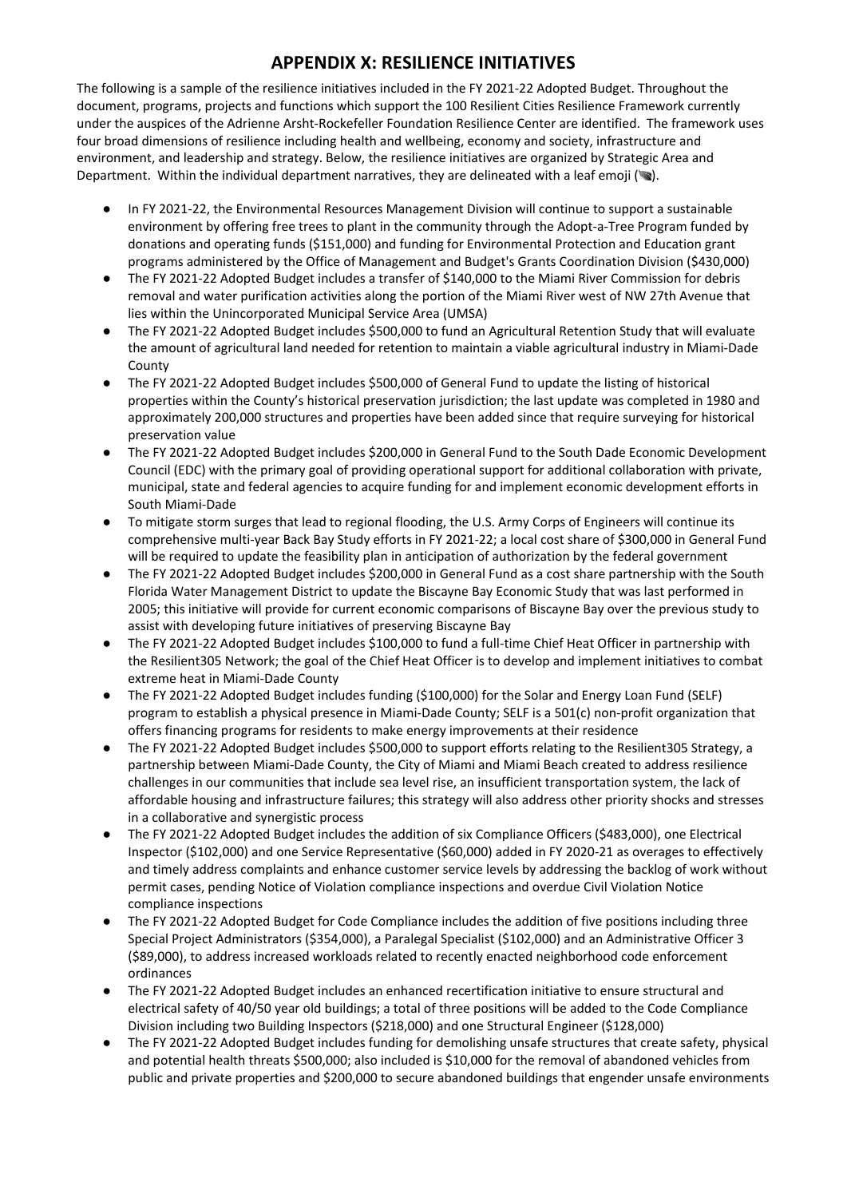The following is a sample of the resilience initiatives included in the FY 2021-22 Adopted Budget. Throughout the document, programs, projects and functions which support the 100 Resilient Cities Resilience Framework currently under the auspices of the Adrienne Arsht-Rockefeller Foundation Resilience Center are identified. The framework uses four broad dimensions of resilience including health and wellbeing, economy and society, infrastructure and environment, and leadership and strategy. Below, the resilience initiatives are organized by Strategic Area and Department. Within the individual department narratives, they are delineated with a leaf emoji ( $\blacktriangleright$ ).

- In FY 2021-22, the Environmental Resources Management Division will continue to support a sustainable environment by offering free trees to plant in the community through the Adopt-a-Tree Program funded by donations and operating funds (\$151,000) and funding for Environmental Protection and Education grant programs administered by the Office of Management and Budget's Grants Coordination Division (\$430,000)
- The FY 2021-22 Adopted Budget includes a transfer of \$140,000 to the Miami River Commission for debris removal and water purification activities along the portion of the Miami River west of NW 27th Avenue that lies within the Unincorporated Municipal Service Area (UMSA)
- The FY 2021-22 Adopted Budget includes \$500,000 to fund an Agricultural Retention Study that will evaluate the amount of agricultural land needed for retention to maintain a viable agricultural industry in Miami-Dade County
- The FY 2021-22 Adopted Budget includes \$500,000 of General Fund to update the listing of historical properties within the County's historical preservation jurisdiction; the last update was completed in 1980 and approximately 200,000 structures and properties have been added since that require surveying for historical preservation value
- The FY 2021-22 Adopted Budget includes \$200,000 in General Fund to the South Dade Economic Development Council (EDC) with the primary goal of providing operational support for additional collaboration with private, municipal, state and federal agencies to acquire funding for and implement economic development efforts in South Miami-Dade
- To mitigate storm surges that lead to regional flooding, the U.S. Army Corps of Engineers will continue its comprehensive multi-year Back Bay Study efforts in FY 2021-22; a local cost share of \$300,000 in General Fund will be required to update the feasibility plan in anticipation of authorization by the federal government
- The FY 2021-22 Adopted Budget includes \$200,000 in General Fund as a cost share partnership with the South Florida Water Management District to update the Biscayne Bay Economic Study that was last performed in 2005; this initiative will provide for current economic comparisons of Biscayne Bay over the previous study to assist with developing future initiatives of preserving Biscayne Bay
- The FY 2021-22 Adopted Budget includes \$100,000 to fund a full-time Chief Heat Officer in partnership with the Resilient305 Network; the goal of the Chief Heat Officer is to develop and implement initiatives to combat extreme heat in Miami-Dade County
- The FY 2021-22 Adopted Budget includes funding (\$100,000) for the Solar and Energy Loan Fund (SELF) program to establish a physical presence in Miami-Dade County; SELF is a 501(c) non-profit organization that offers financing programs for residents to make energy improvements at their residence
- The FY 2021-22 Adopted Budget includes \$500,000 to support efforts relating to the Resilient305 Strategy, a partnership between Miami-Dade County, the City of Miami and Miami Beach created to address resilience challenges in our communities that include sea level rise, an insufficient transportation system, the lack of affordable housing and infrastructure failures; this strategy will also address other priority shocks and stresses in a collaborative and synergistic process
- The FY 2021-22 Adopted Budget includes the addition of six Compliance Officers (\$483,000), one Electrical Inspector (\$102,000) and one Service Representative (\$60,000) added in FY 2020-21 as overages to effectively and timely address complaints and enhance customer service levels by addressing the backlog of work without permit cases, pending Notice of Violation compliance inspections and overdue Civil Violation Notice compliance inspections
- The FY 2021-22 Adopted Budget for Code Compliance includes the addition of five positions including three Special Project Administrators (\$354,000), a Paralegal Specialist (\$102,000) and an Administrative Officer 3 (\$89,000), to address increased workloads related to recently enacted neighborhood code enforcement ordinances
- The FY 2021-22 Adopted Budget includes an enhanced recertification initiative to ensure structural and electrical safety of 40/50 year old buildings; a total of three positions will be added to the Code Compliance Division including two Building Inspectors (\$218,000) and one Structural Engineer (\$128,000)
- The FY 2021-22 Adopted Budget includes funding for demolishing unsafe structures that create safety, physical and potential health threats \$500,000; also included is \$10,000 for the removal of abandoned vehicles from public and private properties and \$200,000 to secure abandoned buildings that engender unsafe environments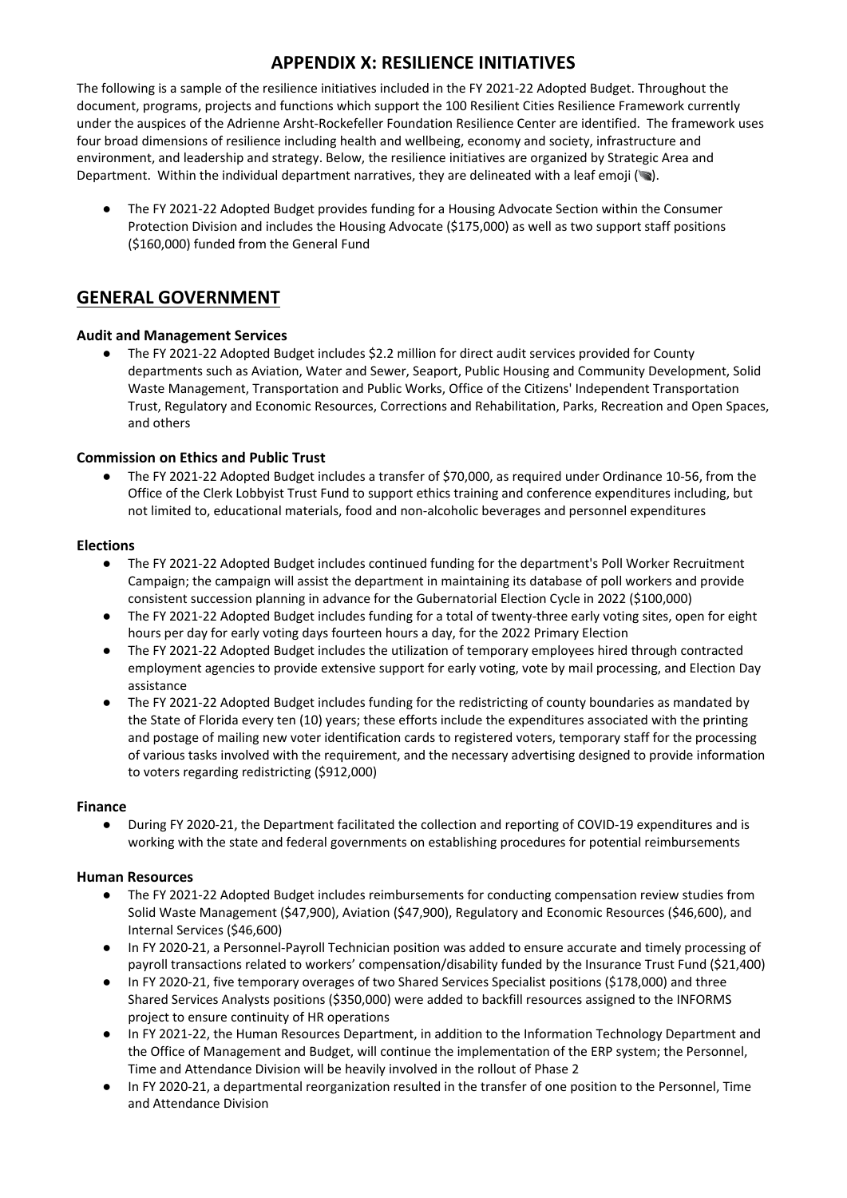The following is a sample of the resilience initiatives included in the FY 2021-22 Adopted Budget. Throughout the document, programs, projects and functions which support the 100 Resilient Cities Resilience Framework currently under the auspices of the Adrienne Arsht-Rockefeller Foundation Resilience Center are identified. The framework uses four broad dimensions of resilience including health and wellbeing, economy and society, infrastructure and environment, and leadership and strategy. Below, the resilience initiatives are organized by Strategic Area and Department. Within the individual department narratives, they are delineated with a leaf emoji ( $\blacktriangleright$ ).

The FY 2021-22 Adopted Budget provides funding for a Housing Advocate Section within the Consumer Protection Division and includes the Housing Advocate (\$175,000) as well as two support staff positions (\$160,000) funded from the General Fund

### **GENERAL GOVERNMENT**

#### **Audit and Management Services**

● The FY 2021-22 Adopted Budget includes \$2.2 million for direct audit services provided for County departments such as Aviation, Water and Sewer, Seaport, Public Housing and Community Development, Solid Waste Management, Transportation and Public Works, Office of the Citizens' Independent Transportation Trust, Regulatory and Economic Resources, Corrections and Rehabilitation, Parks, Recreation and Open Spaces, and others

#### **Commission on Ethics and Public Trust**

The FY 2021-22 Adopted Budget includes a transfer of \$70,000, as required under Ordinance 10-56, from the Office of the Clerk Lobbyist Trust Fund to support ethics training and conference expenditures including, but not limited to, educational materials, food and non-alcoholic beverages and personnel expenditures

#### **Elections**

- The FY 2021-22 Adopted Budget includes continued funding for the department's Poll Worker Recruitment Campaign; the campaign will assist the department in maintaining its database of poll workers and provide consistent succession planning in advance for the Gubernatorial Election Cycle in 2022 (\$100,000)
- The FY 2021-22 Adopted Budget includes funding for a total of twenty-three early voting sites, open for eight hours per day for early voting days fourteen hours a day, for the 2022 Primary Election
- The FY 2021-22 Adopted Budget includes the utilization of temporary employees hired through contracted employment agencies to provide extensive support for early voting, vote by mail processing, and Election Day assistance
- The FY 2021-22 Adopted Budget includes funding for the redistricting of county boundaries as mandated by the State of Florida every ten (10) years; these efforts include the expenditures associated with the printing and postage of mailing new voter identification cards to registered voters, temporary staff for the processing of various tasks involved with the requirement, and the necessary advertising designed to provide information to voters regarding redistricting (\$912,000)

#### **Finance**

● During FY 2020-21, the Department facilitated the collection and reporting of COVID-19 expenditures and is working with the state and federal governments on establishing procedures for potential reimbursements

#### **Human Resources**

- The FY 2021-22 Adopted Budget includes reimbursements for conducting compensation review studies from Solid Waste Management (\$47,900), Aviation (\$47,900), Regulatory and Economic Resources (\$46,600), and Internal Services (\$46,600)
- In FY 2020-21, a Personnel-Payroll Technician position was added to ensure accurate and timely processing of payroll transactions related to workers' compensation/disability funded by the Insurance Trust Fund (\$21,400)
- In FY 2020-21, five temporary overages of two Shared Services Specialist positions (\$178,000) and three Shared Services Analysts positions (\$350,000) were added to backfill resources assigned to the INFORMS project to ensure continuity of HR operations
- In FY 2021-22, the Human Resources Department, in addition to the Information Technology Department and the Office of Management and Budget, will continue the implementation of the ERP system; the Personnel, Time and Attendance Division will be heavily involved in the rollout of Phase 2
- In FY 2020‐21, a departmental reorganization resulted in the transfer of one position to the Personnel, Time and Attendance Division